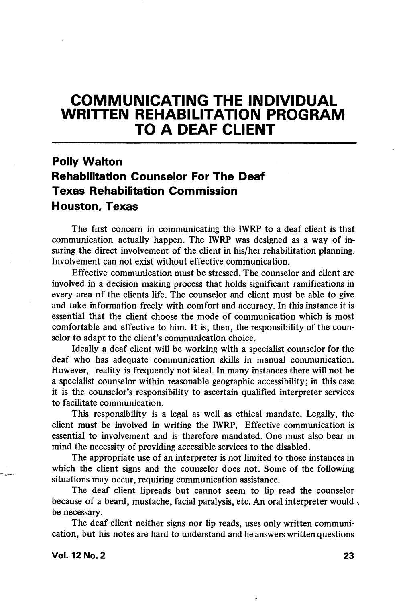# COMMUNICATING THE INDIVIDUAL WRITTEN REHABILITATION PROGRAM TO A DEAF CLIENT

## Polly Walton Rehabilitation Counselor For The Deaf Texas Rehabilitation Commission Houston, Texas

The first concern in communicating the IWRP to a deaf client is that communication actually happen. The IWRP was designed as a way of in suring the direct involvement of the client in his/her rehabilitation planning. Involvement can not exist without effective communication.

Effective communication must be stressed. The counselor and client are involved in a decision making process that holds significant ramifications in every area of the clients life. The counselor and client must be able to give and take information freely with comfort and accuracy. In this instance it is essential that the client choose the mode of communication which is most comfortable and effective to him. It is, then, the responsibility of the coun selor to adapt to the client's communication choice.

Ideally a deaf client will be working with a specialist counselor for the deaf who has adequate communication skills in manual communication. However, reality is frequently not ideal. In many instances there will not be a specialist counselor within reasonable geographic accessibility; in this case it is the counselor's responsibility to ascertain qualified interpreter services to facilitate communication.

This responsibility is a legal as well as ethical mandate. Legally, the client must be involved in writing the IWRP. Effective communication is essential to involvement and is therefore mandated. One must also bear in mind the necessity of providing accessible services to the disabled.

The appropriate use of an interpreter is not limited to those instances in which the client signs and the counselor does not. Some of the following situations may occur, requiring communication assistance.

The deaf client lipreads but cannot seem to lip read the counselor because of a beard, mustache, facial paralysis, etc. An oral interpreter would, be necessary.

The deaf client neither signs nor lip reads, uses only written communication, but his notes are hard to understand and he answers written questions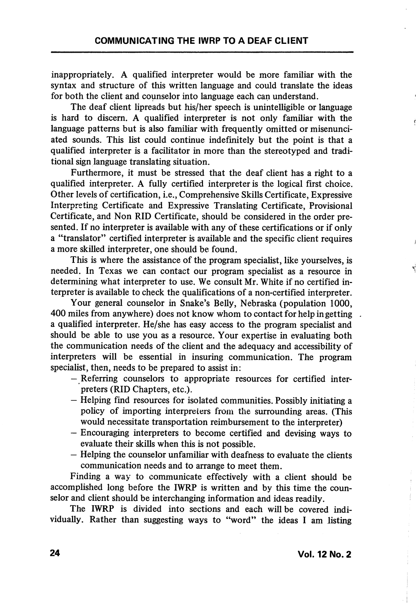inappropriately. A qualified interpreter would be more familiar with the syntax and structure of this written language and could translate the ideas for both the client and counselor into language each can understand.

The deaf client lipreads but his/her speech is unintelligible or language is hard to discern. A qualified interpreter is not only familiar with the language patterns but is also familiar with frequently omitted or misenunciated sounds. This list could continue indefinitely but the point is that a qualified interpreter is a facilitator in more than the stereotyped and traditional sign language translating situation.

Furthermore, it must be stressed that the deaf client has a right to a quahfied interpreter. A fully certified interpreter is the logical first choice. Other levels of certification, i.e.. Comprehensive Skills Certificate, Expressive Interpreting Certificate and Expressive Translating Certificate, Provisional Certificate, and Non RID Certificate, should be considered in the order pre sented. If no interpreter is available with any of these certifications or if only a "translator" certified interpreter is available and the specific client requires a more skilled interpreter, one should be found.

This is where the assistance of the program specialist, like yourselves, is needed. In Texas we can contact our program specialist as a resource in determining what interpreter to use. We consult Mr. White if no certified in terpreter is available to check the qualifications of a non-certified interpreter.

Your general counselor in Snake's Belly, Nebraska (population 1000, 400 miles from anywhere) does not know whom to contact for help in getting a qualified interpreter. He/she has easy access to the program specialist and should be able to use you as a resource. Your expertise in evaluating both the communication needs of the client and the adequacy and accessibility of interpreters will be essential in insuring communication. The program specialist, then, needs to be prepared to assist in;

- Referring counselors to appropriate resources for certified inter preters (RID Chapters, etc.).
- Helping find resources for isolated communities. Possibly initiating a policy of importing interpreters from the surrounding areas. (This would necessitate transportation reimbursement to the interpreter)
- Encouraging interpreters to become certified and devising ways to evaluate their skills when this is not possible.
- Helping the counselor unfamiliar with deafness to evaluate the clients communication needs and to arrange to meet them.

Finding a way to communicate effectively with a client should be accomplished long before the IWRP is written and by this time the coun selor and client should be interchanging information and ideas readily.

The IWRP is divided into sections and each will be covered indi vidually. Rather than suggesting ways to "word" the ideas I am listing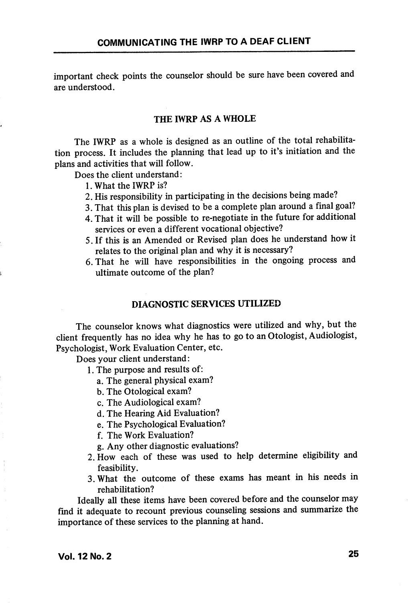important check points the counselor should be sure have been covered and are understood.

#### THE IWRP AS A WHOLE

The IWRP as a whole is designed as an outline of the total rehabilita tion process. It includes the planning that lead up to it's initiation and the plans and activities that will follow.

Does the client understand:

- 1. What the IWRP is?
- 2. His responsibility in participating in the decisions being made?
- 3. That this plan is devised to be a complete plan around a final goal?
- 4. That it will be possible to re-negotiate in the future for additional services or even a different vocational objective?
- 5. If this is an Amended or Revised plan does he understand how it relates to the original plan and why it is necessary?
- 6. That he will have responsibilities in the ongoing process and ultimate outcome of the plan?

#### DIAGNOSTIC SERVICES UTILIZED

The counselor knows what diagnostics were utilized and why, but the client frequently has no idea why he has to go to an Otologist, Audiologist, Psychologist, Work Evaluation Center, etc.

Does your client understand:

- 1. The purpose and results of:
	- a. The general physical exam?
	- b. The Otological exam?
	- c. The Audiological exam?
	- d. The Hearing Aid Evaluation?
	- e. The Psychological Evaluation?
	- f. The Work Evaluation?
	- g. Any other diagnostic evaluations?
- 2. How each of these was used to help determine eligibihty and feasibility.
- 3. What the outcome of these exams has meant in his needs in rehabilitation?

Ideally all these items have been covered before and the counselor may find it adequate to recount previous counseling sessions and summarize the importance of these services to the planning at hand.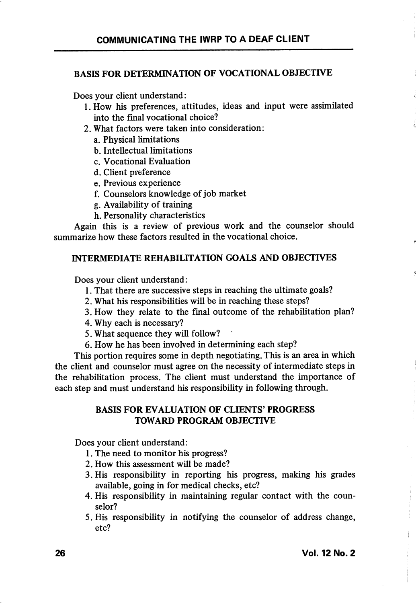#### BASIS FOR DETERMINATION OF VOCATIONAL OBJECTIVE

Does your client understand:

- 1. How his preferences, attitudes, ideas and input were assimilated into the final vocational choice?
- 2. What factors were taken into consideration:
	- a. Physical limitations
	- b. Intellectual limitations
	- c. Vocational Evaluation
	- d. Client preference
	- e. Previous experience
	- f. Counselors knowledge of job market
	- g. Availability of training
	- h. Personality characteristics

Again this is a review of previous work and the counselor should summarize how these factors resulted in the vocational choice.

## INTERMEDIATE REHABILITATION GOALS AND OBJECTIVES

Does your client understand:

- 1. That there are successive steps in reaching the ultimate goals?
- 2. What his responsibilities will be in reaching these steps?
- 3. How they relate to the final outcome of the rehabilitation plan?
- 4. Why each is necessary?
- 5. What sequence they wiU follow?
- 6. How he has been involved in determining each step?

This portion requires some in depth negotiating. This is an area in which the client and counselor must agree on the necessity of intermediate steps in the rehabilitation process. The client must understand the importance of each step and must understand his responsibility in following through.

#### BASIS FOR EVALUATION OF CLIENTS' PROGRESS TOWARD PROGRAM OBJECTIVE

Does your client understand:

- 1. The need to monitor his progress?
- 2. How this assessment will be made?
- 3. His responsibility in reporting his progress, making his grades available, going in for medical checks, etc?
- 4. His responsibility in maintaining regular contact with the coun selor?
- 5. His responsibility in notifying the counselor of address change, etc?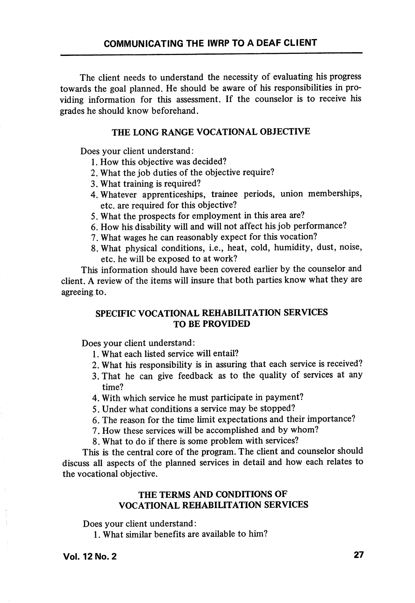The client needs to understand the necessity of evaluating his progress towards the goal planned. He should be aware of his responsibilities in pro viding information for this assessment. If the counselor is to receive his grades he should know beforehand.

#### THE LONG RANGE VOCATIONAL OBJECTIVE

Does your client understand:

- 1. How this objective was decided?
- 2. What the job duties of the objective require?
- 3. What training is required?
- 4. Whatever apprenticeships, trainee periods, union memberships, etc. are required for this objective?
- 5. What the prospects for employment in this area are?
- 6. How his disability will and will not affect his job performance?
- 7. What wages he can reasonably expect for this vocation?
- 8. What physical conditions, i.e., heat, cold, humidity, dust, noise, etc. he will be exposed to at work?

This information should have been covered earlier by the counselor and client. A review of the items will insure that both parties know what they are agreeing to.

## SPECIFIC VOCATIONAL REHABILITATION SERVICES TO BE PROVIDED

Does your client understand:

- 1. What each listed service will entail?
- 2. What his responsibility is in assuring that each service is received?
- 3. That he can give feedback as to the quality of services at any time?
- 4. With which service he must participate in payment?
- 5. Under what conditions a service may be stopped?
- 6. The reason for the time limit expectations and their importance?
- 7. How these services will be accomplished and by whom?
- 8. What to do if there is some problem with services?

This is the central core of the program. The client and counselor should discuss all aspects of the planned services in detail and how each relates to the vocational objective.

## THE TERMS AND CONDITIONS OF VOCATIONAL REHABILITATION SERVICES

Does your client understand:

1. What similar benefits are available to him?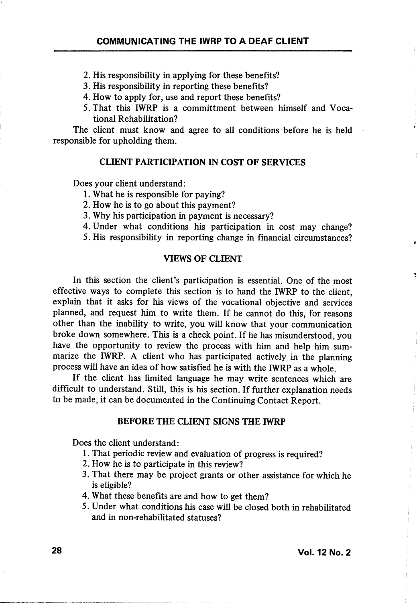2. His responsibility in applying for these benefits?

- 3. His responsibility in reporting these benefits?
- 4. How to apply for, use and report these benefits?
- 5. That this IWRP is a committment between himself and Voca tional Rehabilitation?

The client must know and agree to all conditions before he is held responsible for upholding them.

#### CLIENT PARTICIPATION IN COST OF SERVICES

Does your client understand:

- 1. What he is responsible for paying?
- 2. How he is to go about this payment?
- 3. Why his participation in payment is necessary?
- 4. Under what conditions his participation in cost may change?

5. His responsibility in reporting change in financial circumstances?

#### VIEWS OF CLIENT

In this section the client's participation is essential. One of the most effective ways to complete this section is to hand the IWRP to the client, explain that it asks for his views of the vocational objective and services planned, and request him to write them. If he cannot do this, for reasons other than the inability to write, you wiU know that your communication broke down somewhere. This is a check point. If he has misunderstood, you have the opportunity to review the process with him and help him sum marize the IWRP. A client who has participated actively in the planning process will have an idea of how satisfied he is with the IWRP as a whole.

If the client has limited language he may write sentences which are difficult to understand. Still, this is his section. If further explanation needs to be made, it can be documented in the Continuing Contact Report.

#### BEFORE THE CLIENT SIGNS THE IWRP

Does the client understand:

- 1. That periodic review and evaluation of progress is required?
- 2. How he is to participate in this review?
- 3. That there may be project grants or other assistance for which he is eligible?
- 4. What these benefits are and how to get them?
- 5. Under what conditions his case will be closed both in rehabilitated and in non-rehabilitated statuses?

 $\mathbf{g}$